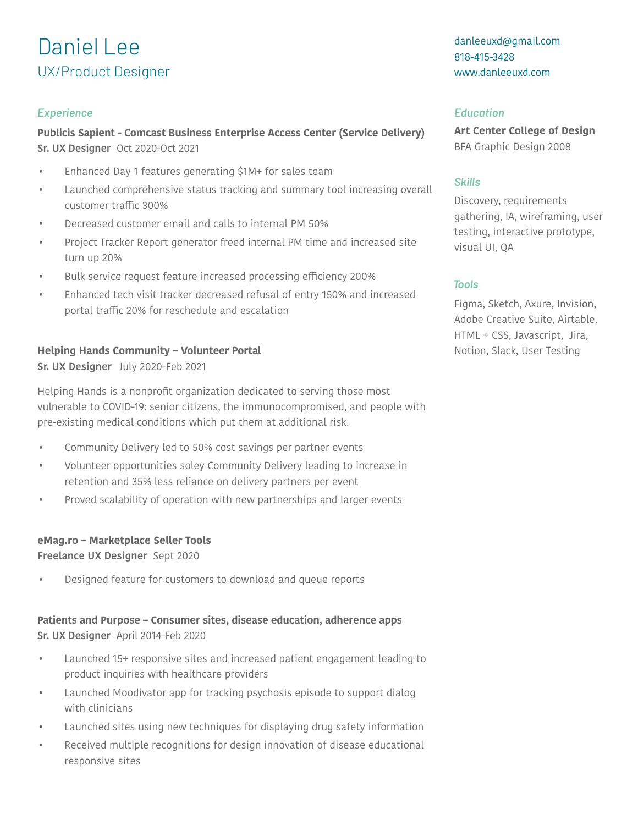# Daniel Lee UX/Product Designer

## *Experience Education*

**Publicis Sapient - Comcast Business Enterprise Access Center (Service Delivery) Sr. UX Designer** Oct 2020-Oct 2021

- Enhanced Day 1 features generating \$1M+ for sales team
- Launched comprehensive status tracking and summary tool increasing overall customer traffic 300%
- Decreased customer email and calls to internal PM 50%
- Project Tracker Report generator freed internal PM time and increased site turn up 20%
- Bulk service request feature increased processing efficiency 200%
- Enhanced tech visit tracker decreased refusal of entry 150% and increased portal traffic 20% for reschedule and escalation

## **Helping Hands Community – Volunteer Portal**

**Sr. UX Designer** July 2020-Feb 2021

Helping Hands is a nonprofit organization dedicated to serving those most vulnerable to COVID-19: senior citizens, the immunocompromised, and people with pre-existing medical conditions which put them at additional risk.

- Community Delivery led to 50% cost savings per partner events
- Volunteer opportunities soley Community Delivery leading to increase in retention and 35% less reliance on delivery partners per event
- Proved scalability of operation with new partnerships and larger events

## **eMag.ro – Marketplace Seller Tools**

**Freelance UX Designer** Sept 2020

• Designed feature for customers to download and queue reports

# **Patients and Purpose – Consumer sites, disease education, adherence apps Sr. UX Designer** April 2014-Feb 2020

- Launched 15+ responsive sites and increased patient engagement leading to product inquiries with healthcare providers
- Launched Moodivator app for tracking psychosis episode to support dialog with clinicians
- Launched sites using new techniques for displaying drug safety information
- Received multiple recognitions for design innovation of disease educational responsive sites

danleeuxd@gmail.com 818-415-3428 www.danleeuxd.com

**Art Center College of Design** BFA Graphic Design 2008

## *Skills*

Discovery, requirements gathering, IA, wireframing, user testing, interactive prototype, visual UI, QA

# *Tools*

Figma, Sketch, Axure, Invision, Adobe Creative Suite, Airtable, HTML + CSS, Javascript, Jira, Notion, Slack, User Testing